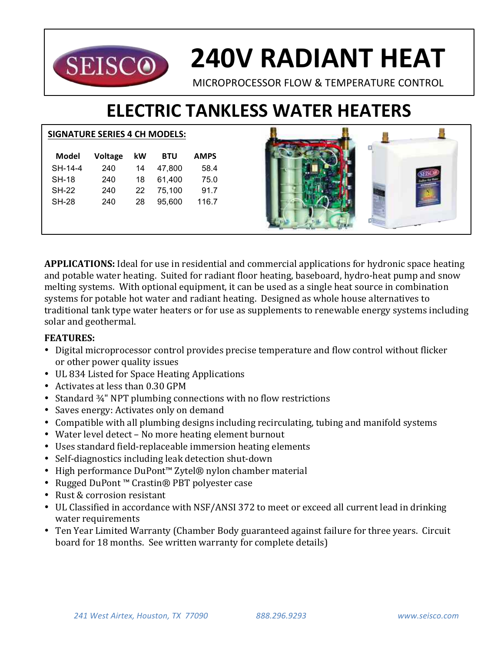

# **240V RADIANT HEAT**

MICROPROCESSOR FLOW & TEMPERATURE CONTROL

# **ELECTRIC TANKLESS WATER HEATERS**

### **SIGNATURE SERIES 4 CH MODELS:**

| Model        | <b>Voltage</b> | kW | <b>BTU</b> | <b>AMPS</b> |
|--------------|----------------|----|------------|-------------|
| SH-14-4      | 240            | 14 | 47.800     | 58.4        |
| <b>SH-18</b> | 240            | 18 | 61.400     | 75.0        |
| <b>SH-22</b> | 240            | 22 | 75.100     | 91.7        |
| <b>SH-28</b> | 240            | 28 | 95.600     | 116.7       |
|              |                |    |            |             |



**APPLICATIONS:** Ideal for use in residential and commercial applications for hydronic space heating and potable water heating. Suited for radiant floor heating, baseboard, hydro-heat pump and snow melting systems. With optional equipment, it can be used as a single heat source in combination systems for potable hot water and radiant heating. Designed as whole house alternatives to traditional tank type water heaters or for use as supplements to renewable energy systems including solar and geothermal.

## **FEATURES:**

- Digital microprocessor control provides precise temperature and flow control without flicker or other power quality issues
- UL 834 Listed for Space Heating Applications
- Activates at less than 0.30 GPM
- Standard  $\frac{3}{4}$ " NPT plumbing connections with no flow restrictions
- Saves energy: Activates only on demand
- Compatible with all plumbing designs including recirculating, tubing and manifold systems
- Water level detect No more heating element burnout
- Uses standard field-replaceable immersion heating elements
- Self-diagnostics including leak detection shut-down
- High performance DuPont™ Zytel® nylon chamber material
- Rugged DuPont™ Crastin® PBT polyester case
- Rust & corrosion resistant
- UL Classified in accordance with NSF/ANSI 372 to meet or exceed all current lead in drinking water requirements
- Ten Year Limited Warranty (Chamber Body guaranteed against failure for three years. Circuit board for 18 months. See written warranty for complete details)